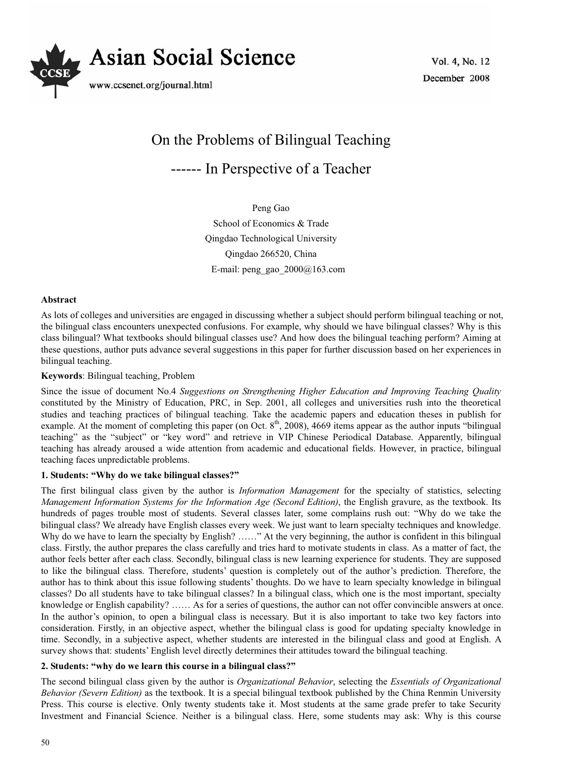

Vol. 4, No. 12 December 2008

# On the Problems of Bilingual Teaching ------ In Perspective of a Teacher

Peng Gao School of Economics & Trade Qingdao Technological University Qingdao 266520, China E-mail: peng\_gao\_2000@163.com

## **Abstract**

As lots of colleges and universities are engaged in discussing whether a subject should perform bilingual teaching or not, the bilingual class encounters unexpected confusions. For example, why should we have bilingual classes? Why is this class bilingual? What textbooks should bilingual classes use? And how does the bilingual teaching perform? Aiming at these questions, author puts advance several suggestions in this paper for further discussion based on her experiences in bilingual teaching.

### **Keywords**: Bilingual teaching, Problem

Since the issue of document No.4 *Suggestions on Strengthening Higher Education and Improving Teaching Quality* constituted by the Ministry of Education, PRC, in Sep. 2001, all colleges and universities rush into the theoretical studies and teaching practices of bilingual teaching. Take the academic papers and education theses in publish for example. At the moment of completing this paper (on Oct.  $8<sup>th</sup>$ , 2008), 4669 items appear as the author inputs "bilingual teaching" as the "subject" or "key word" and retrieve in VIP Chinese Periodical Database. Apparently, bilingual teaching has already aroused a wide attention from academic and educational fields. However, in practice, bilingual teaching faces unpredictable problems.

## **1. Students: "Why do we take bilingual classes?"**

The first bilingual class given by the author is *Information Management* for the specialty of statistics, selecting *Management Information Systems for the Information Age (Second Edition)*, the English gravure, as the textbook. Its hundreds of pages trouble most of students. Several classes later, some complains rush out: "Why do we take the bilingual class? We already have English classes every week. We just want to learn specialty techniques and knowledge. Why do we have to learn the specialty by English? ……" At the very beginning, the author is confident in this bilingual class. Firstly, the author prepares the class carefully and tries hard to motivate students in class. As a matter of fact, the author feels better after each class. Secondly, bilingual class is new learning experience for students. They are supposed to like the bilingual class. Therefore, students' question is completely out of the author's prediction. Therefore, the author has to think about this issue following students' thoughts. Do we have to learn specialty knowledge in bilingual classes? Do all students have to take bilingual classes? In a bilingual class, which one is the most important, specialty knowledge or English capability? …… As for a series of questions, the author can not offer convincible answers at once. In the author's opinion, to open a bilingual class is necessary. But it is also important to take two key factors into consideration. Firstly, in an objective aspect, whether the bilingual class is good for updating specialty knowledge in time. Secondly, in a subjective aspect, whether students are interested in the bilingual class and good at English. A survey shows that: students' English level directly determines their attitudes toward the bilingual teaching.

#### **2. Students: "why do we learn this course in a bilingual class?"**

The second bilingual class given by the author is *Organizational Behavior*, selecting the *Essentials of Organizational Behavior (Severn Edition)* as the textbook. It is a special bilingual textbook published by the China Renmin University Press. This course is elective. Only twenty students take it. Most students at the same grade prefer to take Security Investment and Financial Science. Neither is a bilingual class. Here, some students may ask: Why is this course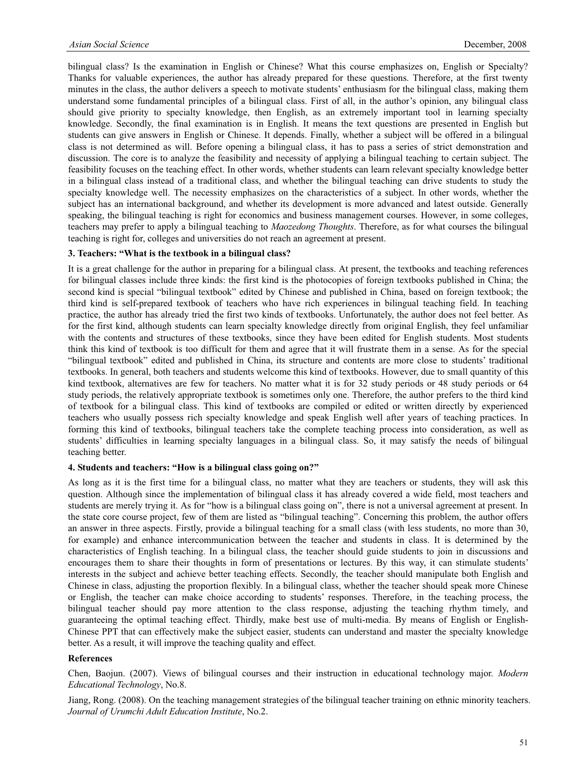bilingual class? Is the examination in English or Chinese? What this course emphasizes on, English or Specialty? Thanks for valuable experiences, the author has already prepared for these questions. Therefore, at the first twenty minutes in the class, the author delivers a speech to motivate students' enthusiasm for the bilingual class, making them understand some fundamental principles of a bilingual class. First of all, in the author's opinion, any bilingual class should give priority to specialty knowledge, then English, as an extremely important tool in learning specialty knowledge. Secondly, the final examination is in English. It means the text questions are presented in English but students can give answers in English or Chinese. It depends. Finally, whether a subject will be offered in a bilingual class is not determined as will. Before opening a bilingual class, it has to pass a series of strict demonstration and discussion. The core is to analyze the feasibility and necessity of applying a bilingual teaching to certain subject. The feasibility focuses on the teaching effect. In other words, whether students can learn relevant specialty knowledge better in a bilingual class instead of a traditional class, and whether the bilingual teaching can drive students to study the specialty knowledge well. The necessity emphasizes on the characteristics of a subject. In other words, whether the subject has an international background, and whether its development is more advanced and latest outside. Generally speaking, the bilingual teaching is right for economics and business management courses. However, in some colleges, teachers may prefer to apply a bilingual teaching to *Maozedong Thoughts*. Therefore, as for what courses the bilingual teaching is right for, colleges and universities do not reach an agreement at present.

## **3. Teachers: "What is the textbook in a bilingual class?**

It is a great challenge for the author in preparing for a bilingual class. At present, the textbooks and teaching references for bilingual classes include three kinds: the first kind is the photocopies of foreign textbooks published in China; the second kind is special "bilingual textbook" edited by Chinese and published in China, based on foreign textbook; the third kind is self-prepared textbook of teachers who have rich experiences in bilingual teaching field. In teaching practice, the author has already tried the first two kinds of textbooks. Unfortunately, the author does not feel better. As for the first kind, although students can learn specialty knowledge directly from original English, they feel unfamiliar with the contents and structures of these textbooks, since they have been edited for English students. Most students think this kind of textbook is too difficult for them and agree that it will frustrate them in a sense. As for the special "bilingual textbook" edited and published in China, its structure and contents are more close to students' traditional textbooks. In general, both teachers and students welcome this kind of textbooks. However, due to small quantity of this kind textbook, alternatives are few for teachers. No matter what it is for 32 study periods or 48 study periods or 64 study periods, the relatively appropriate textbook is sometimes only one. Therefore, the author prefers to the third kind of textbook for a bilingual class. This kind of textbooks are compiled or edited or written directly by experienced teachers who usually possess rich specialty knowledge and speak English well after years of teaching practices. In forming this kind of textbooks, bilingual teachers take the complete teaching process into consideration, as well as students' difficulties in learning specialty languages in a bilingual class. So, it may satisfy the needs of bilingual teaching better.

## **4. Students and teachers: "How is a bilingual class going on?"**

As long as it is the first time for a bilingual class, no matter what they are teachers or students, they will ask this question. Although since the implementation of bilingual class it has already covered a wide field, most teachers and students are merely trying it. As for "how is a bilingual class going on", there is not a universal agreement at present. In the state core course project, few of them are listed as "bilingual teaching". Concerning this problem, the author offers an answer in three aspects. Firstly, provide a bilingual teaching for a small class (with less students, no more than 30, for example) and enhance intercommunication between the teacher and students in class. It is determined by the characteristics of English teaching. In a bilingual class, the teacher should guide students to join in discussions and encourages them to share their thoughts in form of presentations or lectures. By this way, it can stimulate students' interests in the subject and achieve better teaching effects. Secondly, the teacher should manipulate both English and Chinese in class, adjusting the proportion flexibly. In a bilingual class, whether the teacher should speak more Chinese or English, the teacher can make choice according to students' responses. Therefore, in the teaching process, the bilingual teacher should pay more attention to the class response, adjusting the teaching rhythm timely, and guaranteeing the optimal teaching effect. Thirdly, make best use of multi-media. By means of English or English-Chinese PPT that can effectively make the subject easier, students can understand and master the specialty knowledge better. As a result, it will improve the teaching quality and effect.

## **References**

Chen, Baojun. (2007). Views of bilingual courses and their instruction in educational technology major. *Modern Educational Technology*, No.8.

Jiang, Rong. (2008). On the teaching management strategies of the bilingual teacher training on ethnic minority teachers. *Journal of Urumchi Adult Education Institute*, No.2.